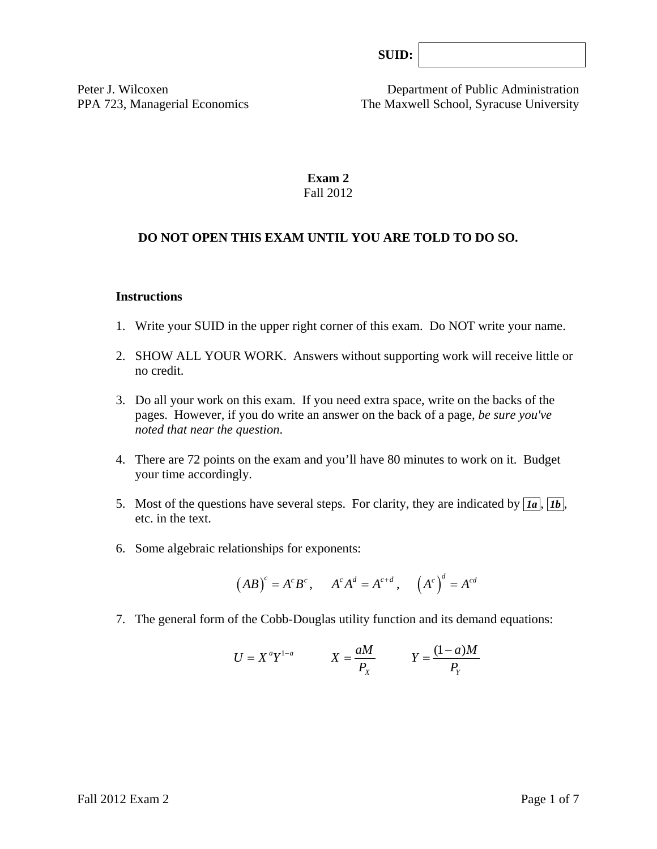| SUB: |  |
|------|--|
|      |  |

Peter J. Wilcoxen Department of Public Administration PPA 723, Managerial Economics The Maxwell School, Syracuse University

## **Exam 2**  Fall 2012

## **DO NOT OPEN THIS EXAM UNTIL YOU ARE TOLD TO DO SO.**

#### **Instructions**

- 1. Write your SUID in the upper right corner of this exam. Do NOT write your name.
- 2. SHOW ALL YOUR WORK. Answers without supporting work will receive little or no credit.
- 3. Do all your work on this exam. If you need extra space, write on the backs of the pages. However, if you do write an answer on the back of a page, *be sure you've noted that near the question*.
- 4. There are 72 points on the exam and you'll have 80 minutes to work on it. Budget your time accordingly.
- 5. Most of the questions have several steps. For clarity, they are indicated by  $\overline{Ia}$ ,  $\overline{Ib}$ , etc. in the text.
- 6. Some algebraic relationships for exponents:

$$
(AB)^c = A^c B^c
$$
,  $A^c A^d = A^{c+d}$ ,  $(A^c)^d = A^{cd}$ 

7. The general form of the Cobb-Douglas utility function and its demand equations:

$$
U = X^a Y^{1-a} \qquad X = \frac{aM}{P_X} \qquad Y = \frac{(1-a)M}{P_Y}
$$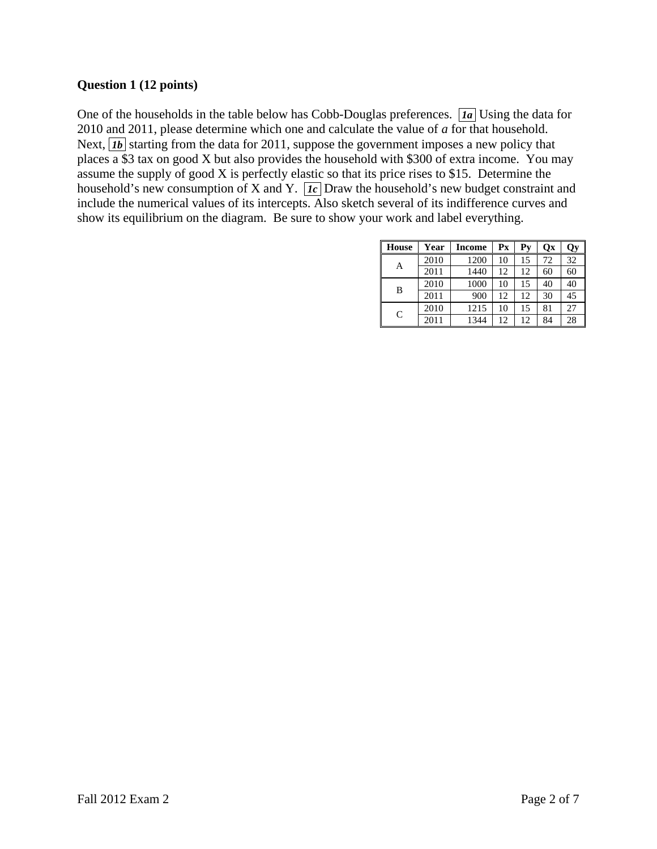## **Question 1 (12 points)**

One of the households in the table below has Cobb-Douglas preferences. *Ia* Using the data for 2010 and 2011, please determine which one and calculate the value of *a* for that household. Next,  $\overline{1b}$  starting from the data for 2011, suppose the government imposes a new policy that places  $\overline{a}$  \$3 tax on good X but also provides the household with \$300 of extra income. You may assume the supply of good X is perfectly elastic so that its price rises to \$15. Determine the household's new consumption of X and Y.  $\overline{Ic}$  Draw the household's new budget constraint and include the numerical values of its intercepts. Also sketch several of its indifference curves and show its equilibrium on the diagram. Be sure to show your work and label everything.

| House        | Year | Income | $\mathbf{P} \mathbf{x}$ | Pv | Qх | <b>Qy</b> |
|--------------|------|--------|-------------------------|----|----|-----------|
| А            | 2010 | 1200   | 10                      | 15 | 72 | 32        |
|              | 2011 | 1440   | 12                      | 12 | 60 | 60        |
| B            | 2010 | 1000   | 10                      | 15 | 40 | 40        |
|              | 2011 | 900    | 12                      | 12 | 30 | 45        |
| $\mathsf{C}$ | 2010 | 1215   | 10                      | 15 | 81 | 27        |
|              | 2011 | 1344   | 12                      | 12 | 84 | 28        |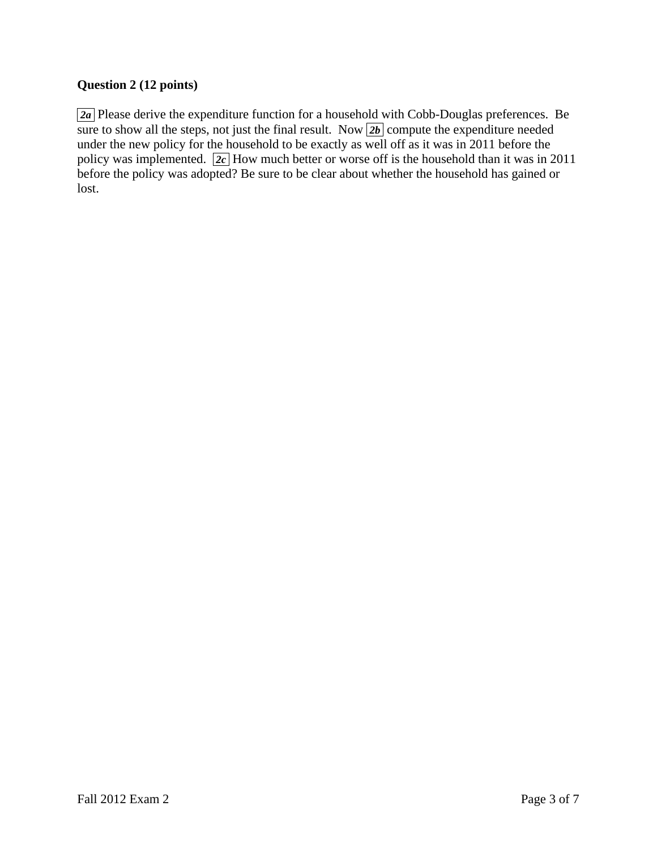## **Question 2 (12 points)**

*za* Please derive the expenditure function for a household with Cobb-Douglas preferences. Be sure to show all the steps, not just the final result. Now  $\boxed{2b}$  compute the expenditure needed under the new policy for the household to be exactly as well off as it was in 2011 before the policy was implemented.  $\sqrt{2c}$  How much better or worse off is the household than it was in 2011 before the policy was adopted? Be sure to be clear about whether the household has gained or lost.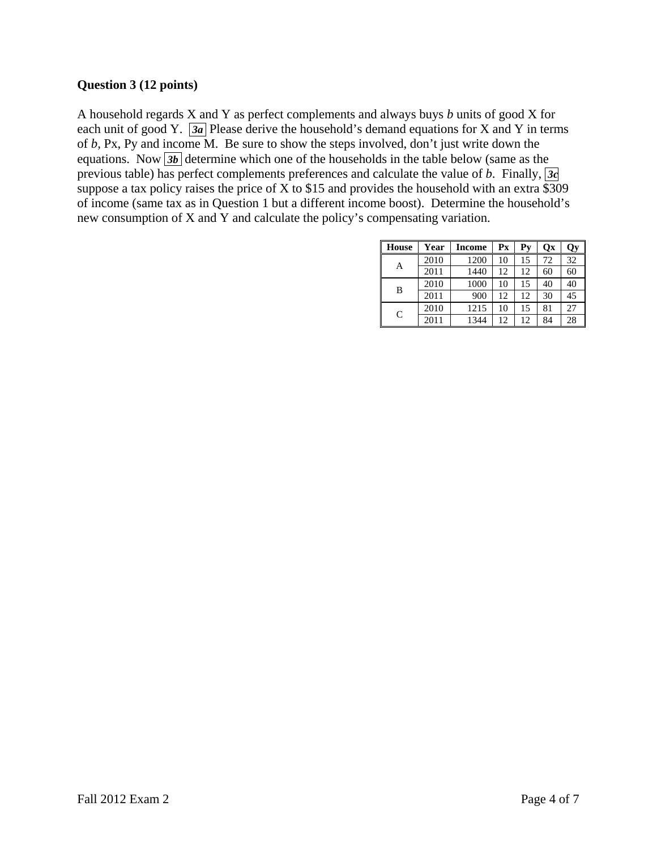## **Question 3 (12 points)**

A household regards X and Y as perfect complements and always buys *b* units of good X for each unit of good Y.  $\overline{a}$  Please derive the household's demand equations for X and Y in terms of *b,* Px, Py and income M. Be sure to show the steps involved, don't just write down the equations. Now **3b** determine which one of the households in the table below (same as the previous table) has perfect complements preferences and calculate the value of *b*. Finally, *3c*  suppose a tax policy raises the price of X to \$15 and provides the household with an extra \$309 of income (same tax as in Question 1 but a different income boost). Determine the household's new consumption of X and Y and calculate the policy's compensating variation.

| <b>House</b> | Year | Income | $P_{X}$ | $Py$ | Ox | <b>Qy</b> |
|--------------|------|--------|---------|------|----|-----------|
| А            | 2010 | 1200   | 10      | 15   | 72 | 32        |
|              | 2011 | 1440   | 12      | 12   | 60 | 60        |
| B            | 2010 | 1000   | 10      | 15   | 40 | 40        |
|              | 2011 | 900    | 12      | 12   | 30 | 45        |
| C            | 2010 | 1215   | 10      | 15   | 81 | 27        |
|              | 2011 | 1344   | 12      | 12   | 84 | 28        |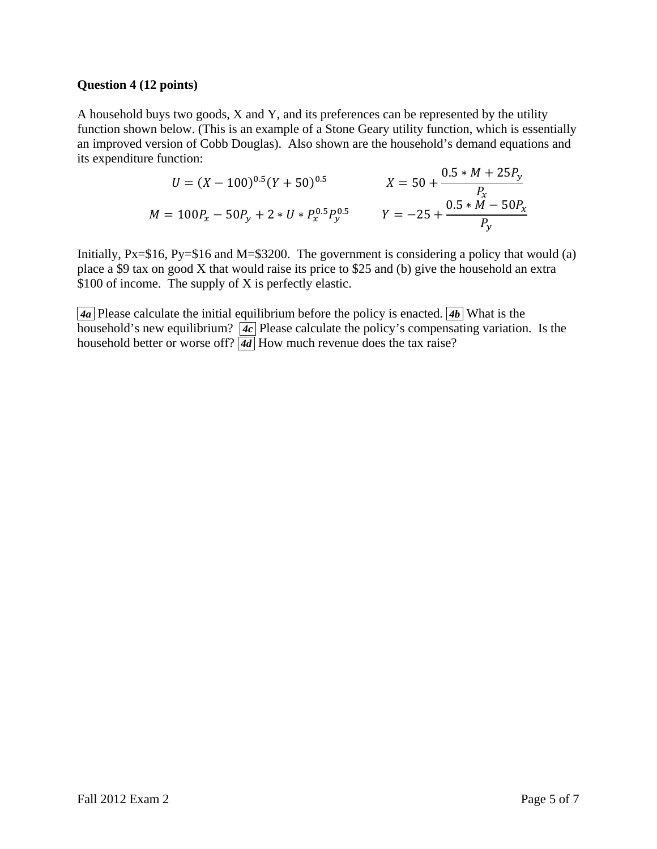### **Question 4 (12 points)**

A household buys two goods, X and Y, and its preferences can be represented by the utility function shown below. (This is an example of a Stone Geary utility function, which is essentially an improved version of Cobb Douglas). Also shown are the household's demand equations and its expenditure function:

$$
U = (X - 100)^{0.5} (Y + 50)^{0.5}
$$
  
\n
$$
X = 50 + \frac{0.5 * M + 25P_y}{P_x}
$$
  
\n
$$
M = 100P_x - 50P_y + 2 * U * P_x^{0.5} P_y^{0.5}
$$
  
\n
$$
Y = -25 + \frac{0.5 * M - 50P_x}{P_y}
$$

Initially,  $Px = $16$ ,  $Py = $16$  and  $M = $3200$ . The government is considering a policy that would (a) place a \$9 tax on good X that would raise its price to \$25 and (b) give the household an extra \$100 of income. The supply of X is perfectly elastic.

 $\overline{4a}$  Please calculate the initial equilibrium before the policy is enacted.  $\overline{4b}$  What is the household's new equilibrium?  $\boxed{4c}$  Please calculate the policy's compensating variation. Is the household better or worse off?  $\overline{4d}$  How much revenue does the tax raise?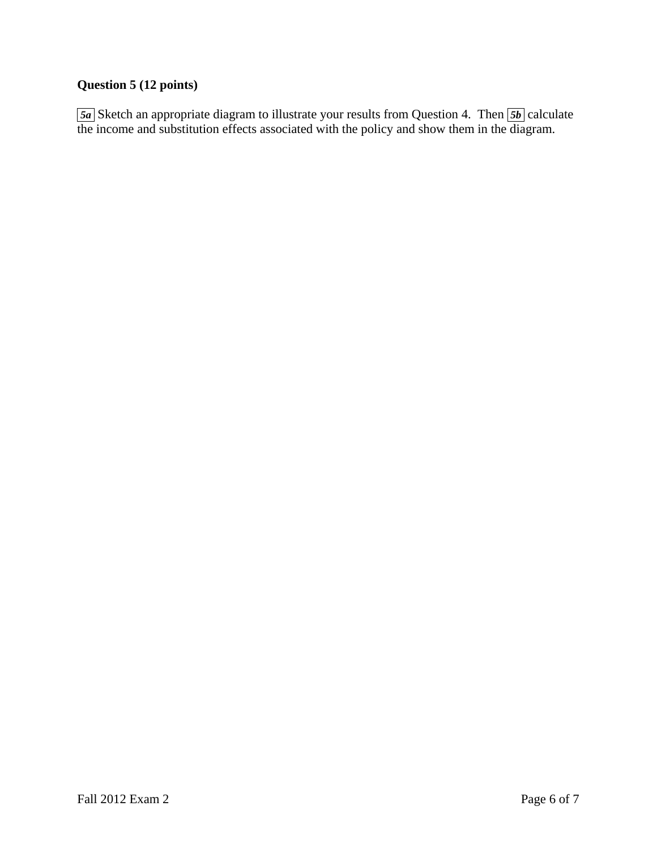# **Question 5 (12 points)**

**5a** Sketch an appropriate diagram to illustrate your results from Question 4. Then **5b** calculate the income and substitution effects associated with the policy and show them in the diagram.